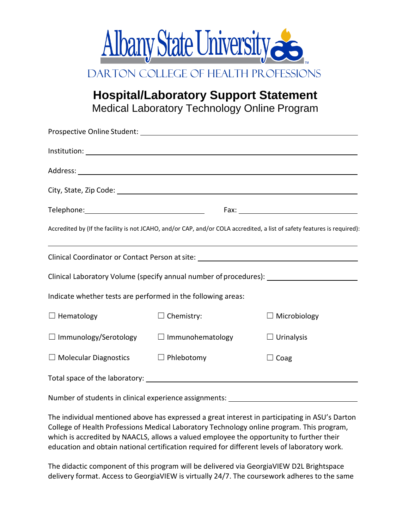

**Hospital/Laboratory Support Statement** Medical Laboratory Technology Online Program

|                                                              |                   | Accredited by (If the facility is not JCAHO, and/or CAP, and/or COLA accredited, a list of safety features is required):                                                                                  |
|--------------------------------------------------------------|-------------------|-----------------------------------------------------------------------------------------------------------------------------------------------------------------------------------------------------------|
|                                                              |                   | <u> 1989 - Johann Stoff, deutscher Stoffen und der Stoffen und der Stoffen und der Stoffen und der Stoffen und de</u><br>Clinical Coordinator or Contact Person at site: ________________________________ |
|                                                              |                   | Clinical Laboratory Volume (specify annual number of procedures): _______________                                                                                                                         |
| Indicate whether tests are performed in the following areas: |                   |                                                                                                                                                                                                           |
| $\Box$ Hematology                                            | $\Box$ Chemistry: | $\Box$ Microbiology                                                                                                                                                                                       |
| $\Box$ Immunology/Serotology $\Box$ Immunohematology         |                   | $\Box$ Urinalysis                                                                                                                                                                                         |
| $\Box$ Molecular Diagnostics                                 | $\Box$ Phlebotomy | $\Box$ Coag                                                                                                                                                                                               |
|                                                              |                   |                                                                                                                                                                                                           |
| Number of students in clinical experience assignments:       |                   |                                                                                                                                                                                                           |

The individual mentioned above has expressed a great interest in participating in ASU's Darton College of Health Professions Medical Laboratory Technology online program. This program, which is accredited by NAACLS, allows a valued employee the opportunity to further their education and obtain national certification required for different levels of laboratory work.

The didactic component of this program will be delivered via GeorgiaVIEW D2L Brightspace delivery format. Access to GeorgiaVIEW is virtually 24/7. The coursework adheres to the same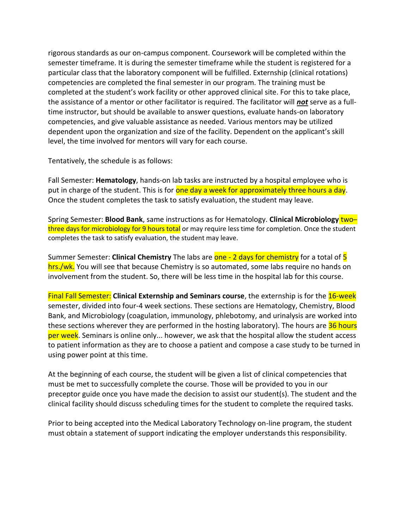rigorous standards as our on-campus component. Coursework will be completed within the semester timeframe. It is during the semester timeframe while the student is registered for a particular class that the laboratory component will be fulfilled. Externship (clinical rotations) competencies are completed the final semester in our program. The training must be completed at the student's work facility or other approved clinical site. For this to take place, the assistance of a mentor or other facilitator is required. The facilitator will *not* serve as a fulltime instructor, but should be available to answer questions, evaluate hands-on laboratory competencies, and give valuable assistance as needed. Various mentors may be utilized dependent upon the organization and size of the facility. Dependent on the applicant's skill level, the time involved for mentors will vary for each course.

Tentatively, the schedule is as follows:

Fall Semester: **Hematology**, hands-on lab tasks are instructed by a hospital employee who is put in charge of the student. This is for one day a week for approximately three hours a day. Once the student completes the task to satisfy evaluation, the student may leave.

Spring Semester: **Blood Bank**, same instructions as for Hematology. **Clinical Microbiology** two– three days for microbiology for 9 hours total or may require less time for completion. Once the student completes the task to satisfy evaluation, the student may leave.

Summer Semester: **Clinical Chemistry** The labs are **one - 2 days for chemistry** for a total of 5 hrs./wk. You will see that because Chemistry is so automated, some labs require no hands on involvement from the student. So, there will be less time in the hospital lab for this course.

Final Fall Semester: **Clinical Externship and Seminars course**, the externship is for the 16-week semester, divided into four-4 week sections. These sections are Hematology, Chemistry, Blood Bank, and Microbiology (coagulation, immunology, phlebotomy, and urinalysis are worked into these sections wherever they are performed in the hosting laboratory). The hours are 36 hours per week. Seminars is online only... however, we ask that the hospital allow the student access to patient information as they are to choose a patient and compose a case study to be turned in using power point at this time.

At the beginning of each course, the student will be given a list of clinical competencies that must be met to successfully complete the course. Those will be provided to you in our preceptor guide once you have made the decision to assist our student(s). The student and the clinical facility should discuss scheduling times for the student to complete the required tasks.

Prior to being accepted into the Medical Laboratory Technology on-line program, the student must obtain a statement of support indicating the employer understands this responsibility.